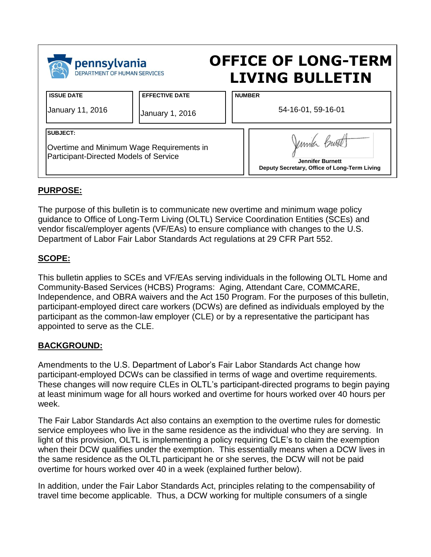| pennsylvania                              |                       | <b>OFFICE OF LONG-TERM</b>                   |
|-------------------------------------------|-----------------------|----------------------------------------------|
| DEPARTMENT OF HUMAN SERVICES              |                       | <b>LIVING BULLETIN</b>                       |
| <b>ISSUE DATE</b>                         | <b>EFFECTIVE DATE</b> | <b>NUMBER</b>                                |
| January 11, 2016                          | January 1, 2016       | 54-16-01, 59-16-01                           |
| <b>SUBJECT:</b>                           |                       | Jumila Burt                                  |
| Overtime and Minimum Wage Requirements in |                       | <b>Jennifer Burnett</b>                      |
| Participant-Directed Models of Service    |                       | Deputy Secretary, Office of Long-Term Living |

# **PURPOSE:**

The purpose of this bulletin is to communicate new overtime and minimum wage policy guidance to Office of Long-Term Living (OLTL) Service Coordination Entities (SCEs) and vendor fiscal/employer agents (VF/EAs) to ensure compliance with changes to the U.S. Department of Labor Fair Labor Standards Act regulations at 29 CFR Part 552.

# **SCOPE:**

This bulletin applies to SCEs and VF/EAs serving individuals in the following OLTL Home and Community-Based Services (HCBS) Programs: Aging, Attendant Care, COMMCARE, Independence, and OBRA waivers and the Act 150 Program. For the purposes of this bulletin, participant-employed direct care workers (DCWs) are defined as individuals employed by the participant as the common-law employer (CLE) or by a representative the participant has appointed to serve as the CLE.

### **BACKGROUND:**

Amendments to the U.S. Department of Labor's Fair Labor Standards Act change how participant-employed DCWs can be classified in terms of wage and overtime requirements. These changes will now require CLEs in OLTL's participant-directed programs to begin paying at least minimum wage for all hours worked and overtime for hours worked over 40 hours per week.

The Fair Labor Standards Act also contains an exemption to the overtime rules for domestic service employees who live in the same residence as the individual who they are serving. In light of this provision, OLTL is implementing a policy requiring CLE's to claim the exemption when their DCW qualifies under the exemption. This essentially means when a DCW lives in the same residence as the OLTL participant he or she serves, the DCW will not be paid overtime for hours worked over 40 in a week (explained further below).

In addition, under the Fair Labor Standards Act, principles relating to the compensability of travel time become applicable. Thus, a DCW working for multiple consumers of a single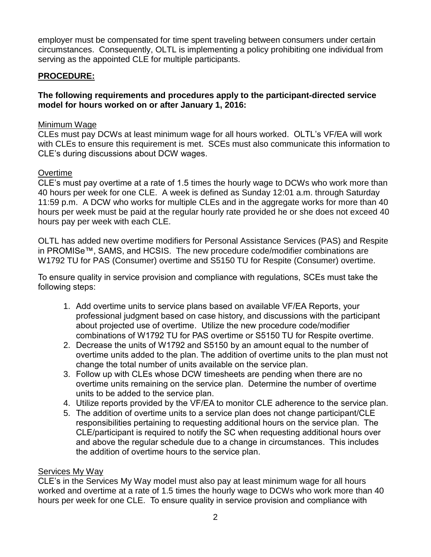employer must be compensated for time spent traveling between consumers under certain circumstances. Consequently, OLTL is implementing a policy prohibiting one individual from serving as the appointed CLE for multiple participants.

# **PROCEDURE:**

# **The following requirements and procedures apply to the participant-directed service model for hours worked on or after January 1, 2016:**

### Minimum Wage

CLEs must pay DCWs at least minimum wage for all hours worked. OLTL's VF/EA will work with CLEs to ensure this requirement is met. SCEs must also communicate this information to CLE's during discussions about DCW wages.

# **Overtime**

CLE's must pay overtime at a rate of 1.5 times the hourly wage to DCWs who work more than 40 hours per week for one CLE. A week is defined as Sunday 12:01 a.m. through Saturday 11:59 p.m. A DCW who works for multiple CLEs and in the aggregate works for more than 40 hours per week must be paid at the regular hourly rate provided he or she does not exceed 40 hours pay per week with each CLE.

OLTL has added new overtime modifiers for Personal Assistance Services (PAS) and Respite in PROMISe™, SAMS, and HCSIS. The new procedure code/modifier combinations are W1792 TU for PAS (Consumer) overtime and S5150 TU for Respite (Consumer) overtime.

To ensure quality in service provision and compliance with regulations, SCEs must take the following steps:

- 1. Add overtime units to service plans based on available VF/EA Reports, your professional judgment based on case history, and discussions with the participant about projected use of overtime. Utilize the new procedure code/modifier combinations of W1792 TU for PAS overtime or S5150 TU for Respite overtime.
- 2. Decrease the units of W1792 and S5150 by an amount equal to the number of overtime units added to the plan. The addition of overtime units to the plan must not change the total number of units available on the service plan.
- 3. Follow up with CLEs whose DCW timesheets are pending when there are no overtime units remaining on the service plan. Determine the number of overtime units to be added to the service plan.
- 4. Utilize reports provided by the VF/EA to monitor CLE adherence to the service plan.
- 5. The addition of overtime units to a service plan does not change participant/CLE responsibilities pertaining to requesting additional hours on the service plan. The CLE/participant is required to notify the SC when requesting additional hours over and above the regular schedule due to a change in circumstances. This includes the addition of overtime hours to the service plan.

### Services My Way

CLE's in the Services My Way model must also pay at least minimum wage for all hours worked and overtime at a rate of 1.5 times the hourly wage to DCWs who work more than 40 hours per week for one CLE. To ensure quality in service provision and compliance with